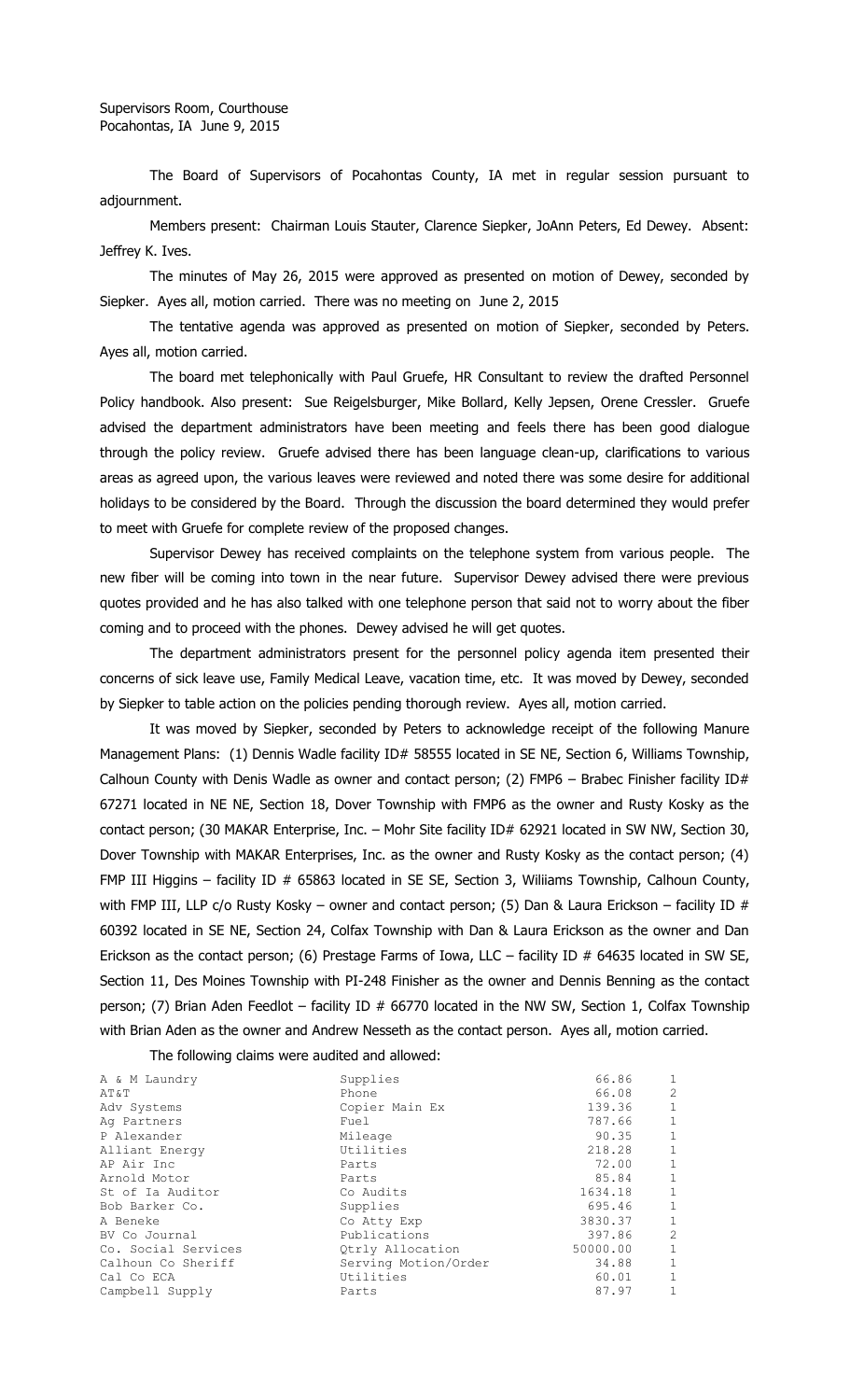The Board of Supervisors of Pocahontas County, IA met in regular session pursuant to adjournment.

Members present: Chairman Louis Stauter, Clarence Siepker, JoAnn Peters, Ed Dewey. Absent: Jeffrey K. Ives.

The minutes of May 26, 2015 were approved as presented on motion of Dewey, seconded by Siepker. Ayes all, motion carried. There was no meeting on June 2, 2015

The tentative agenda was approved as presented on motion of Siepker, seconded by Peters. Ayes all, motion carried.

The board met telephonically with Paul Gruefe, HR Consultant to review the drafted Personnel Policy handbook. Also present: Sue Reigelsburger, Mike Bollard, Kelly Jepsen, Orene Cressler. Gruefe advised the department administrators have been meeting and feels there has been good dialogue through the policy review. Gruefe advised there has been language clean-up, clarifications to various areas as agreed upon, the various leaves were reviewed and noted there was some desire for additional holidays to be considered by the Board. Through the discussion the board determined they would prefer to meet with Gruefe for complete review of the proposed changes.

Supervisor Dewey has received complaints on the telephone system from various people. The new fiber will be coming into town in the near future. Supervisor Dewey advised there were previous quotes provided and he has also talked with one telephone person that said not to worry about the fiber coming and to proceed with the phones. Dewey advised he will get quotes.

The department administrators present for the personnel policy agenda item presented their concerns of sick leave use, Family Medical Leave, vacation time, etc. It was moved by Dewey, seconded by Siepker to table action on the policies pending thorough review. Ayes all, motion carried.

It was moved by Siepker, seconded by Peters to acknowledge receipt of the following Manure Management Plans: (1) Dennis Wadle facility ID# 58555 located in SE NE, Section 6, Williams Township, Calhoun County with Denis Wadle as owner and contact person; (2) FMP6 - Brabec Finisher facility ID# 67271 located in NE NE, Section 18, Dover Township with FMP6 as the owner and Rusty Kosky as the contact person; (30 MAKAR Enterprise, Inc. - Mohr Site facility ID# 62921 located in SW NW, Section 30, Dover Township with MAKAR Enterprises, Inc. as the owner and Rusty Kosky as the contact person; (4) FMP III Higgins - facility ID # 65863 located in SE SE, Section 3, Wiliiams Township, Calhoun County, with FMP III, LLP c/o Rusty Kosky – owner and contact person; (5) Dan & Laura Erickson – facility ID # 60392 located in SE NE, Section 24, Colfax Township with Dan & Laura Erickson as the owner and Dan Erickson as the contact person; (6) Prestage Farms of Iowa, LLC - facility ID # 64635 located in SW SE, Section 11, Des Moines Township with PI-248 Finisher as the owner and Dennis Benning as the contact person; (7) Brian Aden Feedlot – facility ID # 66770 located in the NW SW, Section 1, Colfax Township with Brian Aden as the owner and Andrew Nesseth as the contact person. Ayes all, motion carried.

The following claims were audited and allowed:

| A & M Laundry       | Supplies             | 66.86    | 1              |
|---------------------|----------------------|----------|----------------|
| AT&T                | Phone                | 66.08    | $\overline{c}$ |
| Adv Systems         | Copier Main Ex       | 139.36   | $\mathbf{1}$   |
| Ag Partners         | Fuel                 | 787.66   | 1              |
| P Alexander         | Mileage              | 90.35    | $\mathbf{1}$   |
| Alliant Energy      | Utilities            | 218.28   | $\mathbf{1}$   |
| AP Air Inc          | Parts                | 72.00    | $\mathbf{1}$   |
| Arnold Motor        | Parts                | 85.84    | $\mathbf{1}$   |
| St of Ia Auditor    | Co Audits            | 1634.18  | $\mathbf{1}$   |
| Bob Barker Co.      | Supplies             | 695.46   | $\mathbf{1}$   |
| A Beneke            | Co Atty Exp          | 3830.37  | $\mathbf{1}$   |
| BV Co Journal       | Publications         | 397.86   | $\overline{c}$ |
| Co. Social Services | Qtrly Allocation     | 50000.00 | $\mathbf{1}$   |
| Calhoun Co Sheriff  | Serving Motion/Order | 34.88    | $\mathbf{1}$   |
| Cal Co ECA          | Utilities            | 60.01    | $\mathbf{1}$   |
| Campbell Supply     | Parts                | 87.97    | 1              |
|                     |                      |          |                |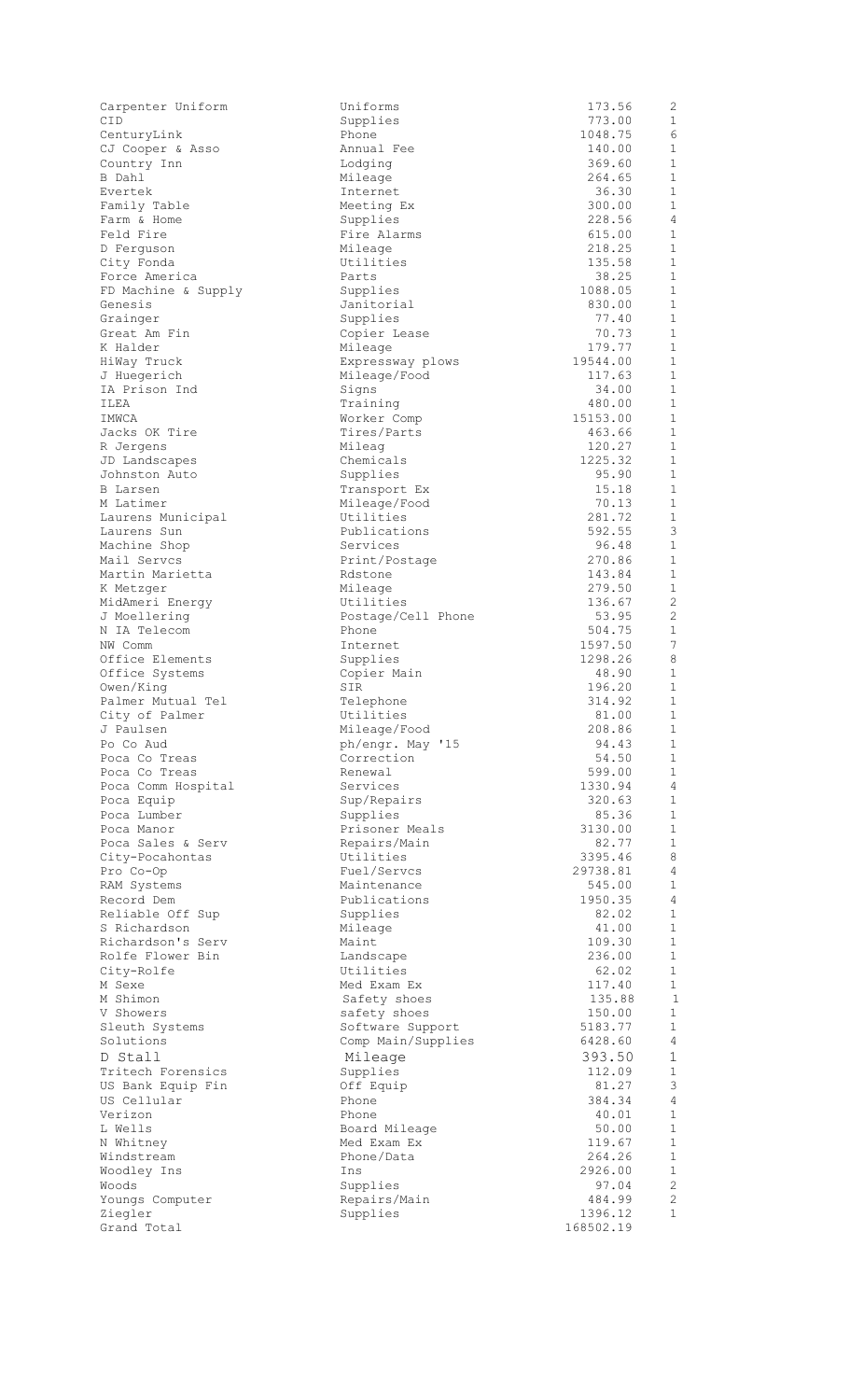| Carpenter Uniform                 | Uniforms                        | 173.56            | 2                              |
|-----------------------------------|---------------------------------|-------------------|--------------------------------|
| CID                               | Supplies                        | 773.00            | 1                              |
| CenturyLink                       | Phone<br>Annual Fee             | 1048.75<br>140.00 | 6<br>$\mathbf 1$               |
| CJ Cooper & Asso<br>Country Inn   | Lodging                         | 369.60            | $\mathbf 1$                    |
| B Dahl                            | Mileage                         | 264.65            | 1                              |
| Evertek                           | Internet                        | 36.30             | $\mathbf 1$                    |
| Family Table                      | Meeting Ex                      | 300.00            | $\mathbf 1$                    |
| Farm & Home                       | Supplies                        | 228.56            | $\overline{4}$                 |
| Feld Fire                         | Fire Alarms                     | 615.00            | $\mathbf{1}$                   |
| D Ferquson                        | Mileage<br>Utilities            | 218.25<br>135.58  | $\mathbf 1$<br>$\mathbf{1}$    |
| City Fonda<br>Force America       | Parts                           | 38.25             | $\mathbf 1$                    |
| FD Machine & Supply               | Supplies                        | 1088.05           | $\mathbf{1}$                   |
| Genesis                           | Janitorial                      | 830.00            | $\mathbf 1$                    |
| Grainger                          | Supplies                        | 77.40             | $\mathbf{1}$                   |
| Great Am Fin                      | Copier Lease                    | 70.73             | $\mathbf{1}$                   |
| K Halder                          | Mileage                         | 179.77            | $\mathbf 1$                    |
| HiWay Truck                       | Expressway plows                | 19544.00          | $\mathbf{1}$<br>$\mathbf{1}$   |
| J Huegerich<br>IA Prison Ind      | Mileage/Food<br>Signs           | 117.63<br>34.00   | $\mathbf 1$                    |
| ILEA                              | Training                        | 480.00            | $\mathbf{1}$                   |
| IMWCA                             | Worker Comp                     | 15153.00          | $\mathbf 1$                    |
| Jacks OK Tire                     | Tires/Parts                     | 463.66            | $\mathbf 1$                    |
| R Jergens                         | Mileag                          | 120.27            | $\mathbf 1$                    |
| JD Landscapes                     | Chemicals                       | 1225.32           | 1                              |
| Johnston Auto                     | Supplies                        | 95.90<br>15.18    | $\mathbf{1}$<br>$\mathbf{1}$   |
| <b>B</b> Larsen<br>M Latimer      | Transport Ex<br>Mileage/Food    | 70.13             | $\mathbf 1$                    |
| Laurens Municipal                 | Utilities                       | 281.72            | $\mathbf 1$                    |
| Laurens Sun                       | Publications                    | 592.55            | 3                              |
| Machine Shop                      | Services                        | 96.48             | 1                              |
| Mail Servcs                       | Print/Postage                   | 270.86            | 1                              |
| Martin Marietta                   | Rdstone                         | 143.84            | $\mathbf 1$                    |
| K Metzger                         | Mileage                         | 279.50            | $\mathbf{1}$<br>$\overline{2}$ |
| MidAmeri Energy<br>J Moellering   | Utilities<br>Postage/Cell Phone | 136.67<br>53.95   | 2                              |
| N IA Telecom                      | Phone                           | 504.75            | $\mathbf 1$                    |
| NW Comm                           | Internet                        | 1597.50           | $7\phantom{.0}$                |
| Office Elements                   | Supplies                        | 1298.26           | 8                              |
| Office Systems                    | Copier Main                     | 48.90             | $\mathbf{1}$                   |
| Owen/King                         | SIR                             | 196.20            | 1                              |
| Palmer Mutual Tel                 | Telephone                       | 314.92            | 1<br>$\mathbf 1$               |
| City of Palmer<br>J Paulsen       | Utilities<br>Mileage/Food       | 81.00<br>208.86   | 1                              |
| Po Co Aud                         | ph/engr. May '15                | 94.43             | 1                              |
| Poca Co Treas                     | Correction                      | 54.50             | $\mathbf 1$                    |
| Poca Co Treas                     | Renewal                         | 599.00            | $\mathbf 1$                    |
| Poca Comm Hospital                | Services                        | 1330.94           | $\overline{4}$                 |
| Poca Equip                        | Sup/Repairs                     | 320.63            | $\mathbf 1$                    |
| Poca Lumber<br>Poca Manor         | Supplies<br>Prisoner Meals      | 85.36             | $\mathbf{1}$<br>$\mathbf 1$    |
| Poca Sales & Serv                 | Repairs/Main                    | 3130.00<br>82.77  | $\mathbf{1}$                   |
| City-Pocahontas                   | Utilities                       | 3395.46           | 8                              |
| Pro Co-Op                         | Fuel/Servcs                     | 29738.81          | 4                              |
| RAM Systems                       | Maintenance                     | 545.00            | 1                              |
| Record Dem                        | Publications                    | 1950.35           | $\overline{4}$                 |
| Reliable Off Sup                  | Supplies                        | 82.02             | $\mathbf 1$                    |
| S Richardson<br>Richardson's Serv | Mileage<br>Maint                | 41.00<br>109.30   | $\mathbf 1$<br>$\mathbf{1}$    |
| Rolfe Flower Bin                  | Landscape                       | 236.00            | $\mathbf{1}$                   |
| City-Rolfe                        | Utilities                       | 62.02             | $\mathbf{1}$                   |
| M Sexe                            | Med Exam Ex                     | 117.40            | $\mathbf{1}$                   |
| M Shimon                          | Safety shoes                    | 135.88            | $\mathbf{1}$                   |
| V Showers                         | safety shoes                    | 150.00            | $\mathbf{1}$                   |
| Sleuth Systems                    | Software Support                | 5183.77           | 1                              |
| Solutions                         | Comp Main/Supplies              | 6428.60<br>393.50 | $\sqrt{4}$<br>$\mathbf 1$      |
| D Stall<br>Tritech Forensics      | Mileage<br>Supplies             | 112.09            | $\mathbf 1$                    |
| US Bank Equip Fin                 | Off Equip                       | 81.27             | 3                              |
| US Cellular                       | Phone                           | 384.34            | $\overline{4}$                 |
| Verizon                           | Phone                           | 40.01             | $\mathbf 1$                    |
| L Wells                           | Board Mileage                   | 50.00             | $\mathbf{1}$                   |
| N Whitney                         | Med Exam Ex                     | 119.67            | $\mathbf{1}$                   |
| Windstream<br>Woodley Ins         | Phone/Data<br>Ins               | 264.26<br>2926.00 | $\mathbf 1$<br>$\mathbf 1$     |
| Woods                             | Supplies                        | 97.04             | 2                              |
| Youngs Computer                   | Repairs/Main                    | 484.99            | $\overline{2}$                 |
| Ziegler                           | Supplies                        | 1396.12           | 1                              |
| Grand Total                       |                                 | 168502.19         |                                |